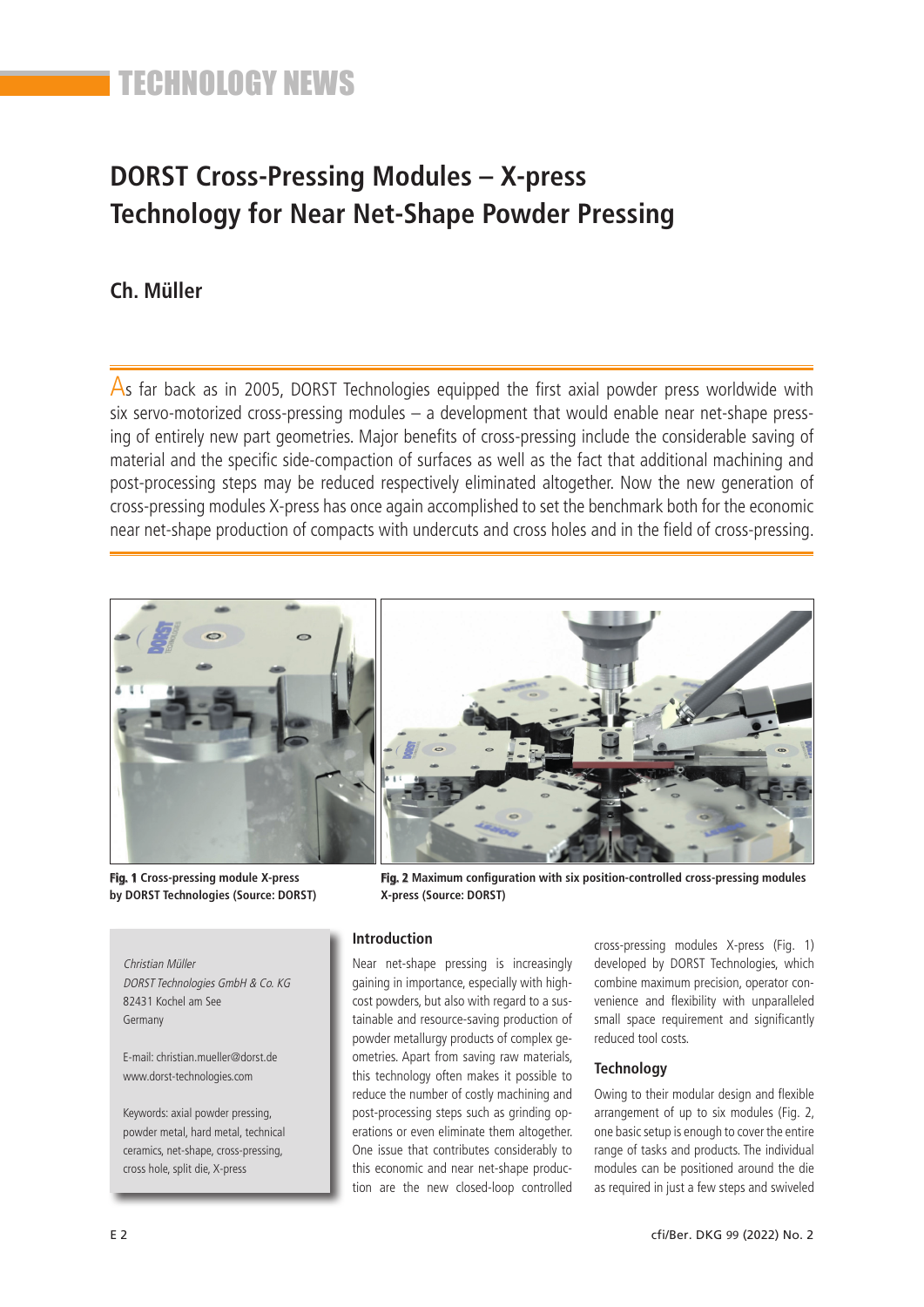## **DORST Cross-Pressing Modules – X-press Technology for Near Net-Shape Powder Pressing**

### **Ch. Müller**

As far back as in 2005, DORST Technologies equipped the first axial powder press worldwide with six servo-motorized cross-pressing modules – a development that would enable near net-shape pressing of entirely new part geometries. Major benefits of cross-pressing include the considerable saving of material and the specific side-compaction of surfaces as well as the fact that additional machining and post-processing steps may be reduced respectively eliminated altogether. Now the new generation of cross-pressing modules X-press has once again accomplished to set the benchmark both for the economic near net-shape production of compacts with undercuts and cross holes and in the field of cross-pressing.



**Fig. 1 Cross-pressing module X-press by DORST Technologies (Source: DORST)**

**Fig. 2 Maximum configuration with six position-controlled cross-pressing modules X-press (Source: DORST)**

Christian Müller DORST Technologies GmbH & Co. KG 82431 Kochel am See Germany

E-mail: christian.mueller@dorst.de www.dorst-technologies.com

Keywords: axial powder pressing, powder metal, hard metal, technical ceramics, net-shape, cross-pressing, cross hole, split die, X-press

### **Introduction**

Near net-shape pressing is increasingly gaining in importance, especially with highcost powders, but also with regard to a sustainable and resource-saving production of powder metallurgy products of complex geometries. Apart from saving raw materials, this technology often makes it possible to reduce the number of costly machining and post-processing steps such as grinding operations or even eliminate them altogether. One issue that contributes considerably to this economic and near net-shape production are the new closed-loop controlled

cross-pressing modules X-press (Fig. 1) developed by DORST Technologies, which combine maximum precision, operator convenience and flexibility with unparalleled small space requirement and significantly reduced tool costs.

#### **Technology**

Owing to their modular design and flexible arrangement of up to six modules (Fig. 2, one basic setup is enough to cover the entire range of tasks and products. The individual modules can be positioned around the die as required in just a few steps and swiveled